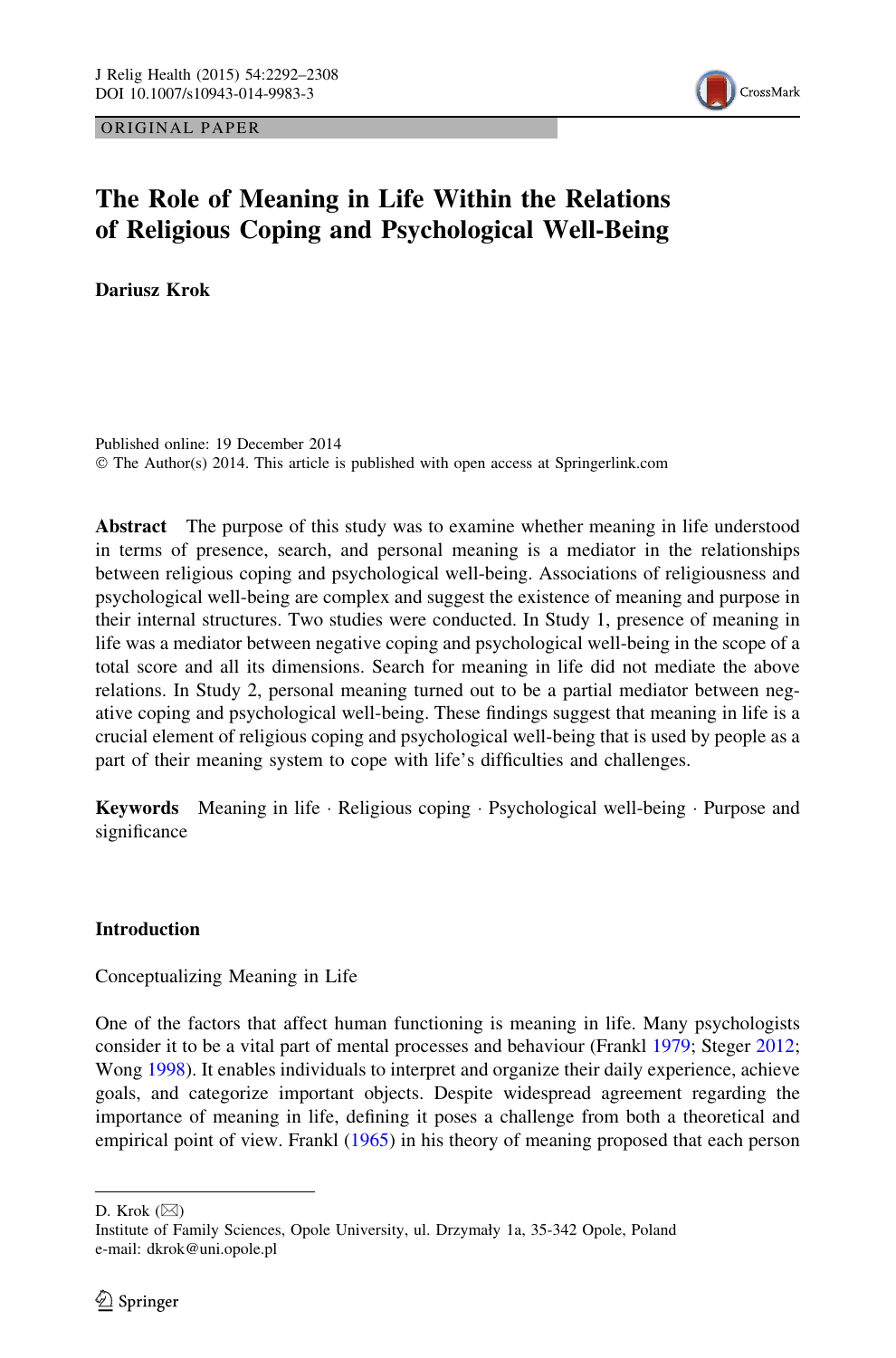ORIGINAL PAPER



# The Role of Meaning in Life Within the Relations of Religious Coping and Psychological Well-Being

Dariusz Krok

Published online: 19 December 2014 © The Author(s) 2014. This article is published with open access at Springerlink.com

Abstract The purpose of this study was to examine whether meaning in life understood in terms of presence, search, and personal meaning is a mediator in the relationships between religious coping and psychological well-being. Associations of religiousness and psychological well-being are complex and suggest the existence of meaning and purpose in their internal structures. Two studies were conducted. In Study 1, presence of meaning in life was a mediator between negative coping and psychological well-being in the scope of a total score and all its dimensions. Search for meaning in life did not mediate the above relations. In Study 2, personal meaning turned out to be a partial mediator between negative coping and psychological well-being. These findings suggest that meaning in life is a crucial element of religious coping and psychological well-being that is used by people as a part of their meaning system to cope with life's difficulties and challenges.

Keywords Meaning in life · Religious coping · Psychological well-being · Purpose and significance

# Introduction

Conceptualizing Meaning in Life

One of the factors that affect human functioning is meaning in life. Many psychologists consider it to be a vital part of mental processes and behaviour (Frankl [1979;](#page-15-0) Steger [2012;](#page-16-0) Wong [1998](#page-16-0)). It enables individuals to interpret and organize their daily experience, achieve goals, and categorize important objects. Despite widespread agreement regarding the importance of meaning in life, defining it poses a challenge from both a theoretical and empirical point of view. Frankl ([1965\)](#page-15-0) in his theory of meaning proposed that each person

D. Krok  $(\boxtimes)$ 

Institute of Family Sciences, Opole University, ul. Drzymały 1a, 35-342 Opole, Poland e-mail: dkrok@uni.opole.pl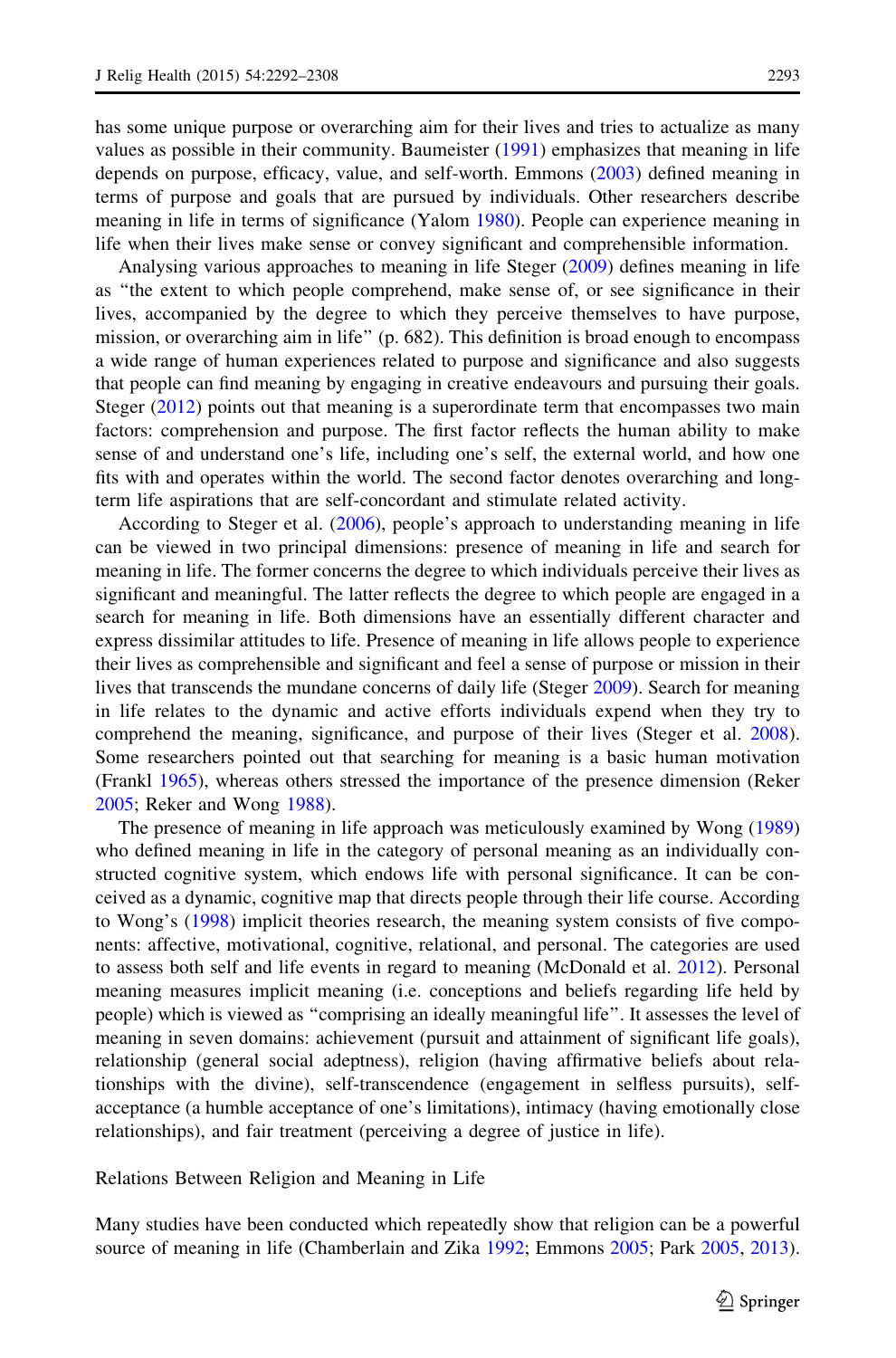has some unique purpose or overarching aim for their lives and tries to actualize as many values as possible in their community. Baumeister ([1991\)](#page-14-0) emphasizes that meaning in life depends on purpose, efficacy, value, and self-worth. Emmons ([2003\)](#page-15-0) defined meaning in terms of purpose and goals that are pursued by individuals. Other researchers describe meaning in life in terms of significance (Yalom [1980](#page-16-0)). People can experience meaning in life when their lives make sense or convey significant and comprehensible information.

Analysing various approaches to meaning in life Steger [\(2009\)](#page-16-0) defines meaning in life as ''the extent to which people comprehend, make sense of, or see significance in their lives, accompanied by the degree to which they perceive themselves to have purpose, mission, or overarching aim in life'' (p. 682). This definition is broad enough to encompass a wide range of human experiences related to purpose and significance and also suggests that people can find meaning by engaging in creative endeavours and pursuing their goals. Steger [\(2012\)](#page-16-0) points out that meaning is a superordinate term that encompasses two main factors: comprehension and purpose. The first factor reflects the human ability to make sense of and understand one's life, including one's self, the external world, and how one fits with and operates within the world. The second factor denotes overarching and longterm life aspirations that are self-concordant and stimulate related activity.

According to Steger et al. [\(2006\)](#page-16-0), people's approach to understanding meaning in life can be viewed in two principal dimensions: presence of meaning in life and search for meaning in life. The former concerns the degree to which individuals perceive their lives as significant and meaningful. The latter reflects the degree to which people are engaged in a search for meaning in life. Both dimensions have an essentially different character and express dissimilar attitudes to life. Presence of meaning in life allows people to experience their lives as comprehensible and significant and feel a sense of purpose or mission in their lives that transcends the mundane concerns of daily life (Steger [2009\)](#page-16-0). Search for meaning in life relates to the dynamic and active efforts individuals expend when they try to comprehend the meaning, significance, and purpose of their lives (Steger et al. [2008](#page-16-0)). Some researchers pointed out that searching for meaning is a basic human motivation (Frankl [1965\)](#page-15-0), whereas others stressed the importance of the presence dimension (Reker [2005;](#page-16-0) Reker and Wong [1988](#page-16-0)).

The presence of meaning in life approach was meticulously examined by Wong ([1989](#page-16-0)) who defined meaning in life in the category of personal meaning as an individually constructed cognitive system, which endows life with personal significance. It can be conceived as a dynamic, cognitive map that directs people through their life course. According to Wong's ([1998](#page-16-0)) implicit theories research, the meaning system consists of five components: affective, motivational, cognitive, relational, and personal. The categories are used to assess both self and life events in regard to meaning (McDonald et al. [2012](#page-15-0)). Personal meaning measures implicit meaning (i.e. conceptions and beliefs regarding life held by people) which is viewed as ''comprising an ideally meaningful life''. It assesses the level of meaning in seven domains: achievement (pursuit and attainment of significant life goals), relationship (general social adeptness), religion (having affirmative beliefs about relationships with the divine), self-transcendence (engagement in selfless pursuits), selfacceptance (a humble acceptance of one's limitations), intimacy (having emotionally close relationships), and fair treatment (perceiving a degree of justice in life).

Relations Between Religion and Meaning in Life

Many studies have been conducted which repeatedly show that religion can be a powerful source of meaning in life (Chamberlain and Zika [1992](#page-14-0); Emmons [2005](#page-15-0); Park [2005,](#page-15-0) [2013](#page-15-0)).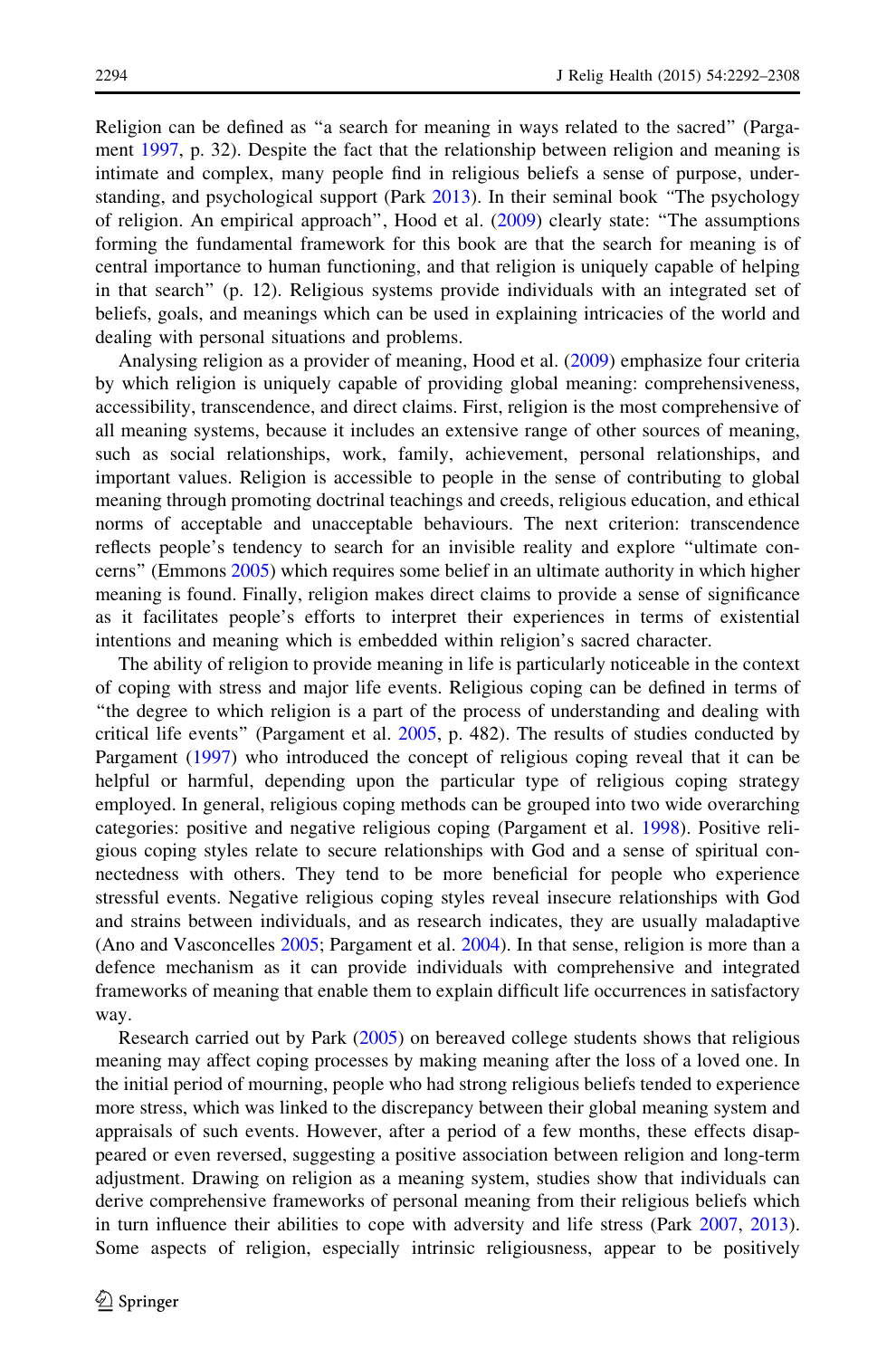Religion can be defined as "a search for meaning in ways related to the sacred" (Pargament [1997,](#page-15-0) p. 32). Despite the fact that the relationship between religion and meaning is intimate and complex, many people find in religious beliefs a sense of purpose, understanding, and psychological support (Park [2013\)](#page-15-0). In their seminal book ''The psychology of religion. An empirical approach'', Hood et al. [\(2009\)](#page-15-0) clearly state: ''The assumptions forming the fundamental framework for this book are that the search for meaning is of central importance to human functioning, and that religion is uniquely capable of helping in that search'' (p. 12). Religious systems provide individuals with an integrated set of beliefs, goals, and meanings which can be used in explaining intricacies of the world and dealing with personal situations and problems.

Analysing religion as a provider of meaning, Hood et al. ([2009\)](#page-15-0) emphasize four criteria by which religion is uniquely capable of providing global meaning: comprehensiveness, accessibility, transcendence, and direct claims. First, religion is the most comprehensive of all meaning systems, because it includes an extensive range of other sources of meaning, such as social relationships, work, family, achievement, personal relationships, and important values. Religion is accessible to people in the sense of contributing to global meaning through promoting doctrinal teachings and creeds, religious education, and ethical norms of acceptable and unacceptable behaviours. The next criterion: transcendence reflects people's tendency to search for an invisible reality and explore ''ultimate concerns'' (Emmons [2005](#page-15-0)) which requires some belief in an ultimate authority in which higher meaning is found. Finally, religion makes direct claims to provide a sense of significance as it facilitates people's efforts to interpret their experiences in terms of existential intentions and meaning which is embedded within religion's sacred character.

The ability of religion to provide meaning in life is particularly noticeable in the context of coping with stress and major life events. Religious coping can be defined in terms of ''the degree to which religion is a part of the process of understanding and dealing with critical life events'' (Pargament et al. [2005](#page-15-0), p. 482). The results of studies conducted by Pargament [\(1997](#page-15-0)) who introduced the concept of religious coping reveal that it can be helpful or harmful, depending upon the particular type of religious coping strategy employed. In general, religious coping methods can be grouped into two wide overarching categories: positive and negative religious coping (Pargament et al. [1998\)](#page-15-0). Positive religious coping styles relate to secure relationships with God and a sense of spiritual connectedness with others. They tend to be more beneficial for people who experience stressful events. Negative religious coping styles reveal insecure relationships with God and strains between individuals, and as research indicates, they are usually maladaptive (Ano and Vasconcelles [2005;](#page-14-0) Pargament et al. [2004](#page-15-0)). In that sense, religion is more than a defence mechanism as it can provide individuals with comprehensive and integrated frameworks of meaning that enable them to explain difficult life occurrences in satisfactory way.

Research carried out by Park [\(2005](#page-15-0)) on bereaved college students shows that religious meaning may affect coping processes by making meaning after the loss of a loved one. In the initial period of mourning, people who had strong religious beliefs tended to experience more stress, which was linked to the discrepancy between their global meaning system and appraisals of such events. However, after a period of a few months, these effects disappeared or even reversed, suggesting a positive association between religion and long-term adjustment. Drawing on religion as a meaning system, studies show that individuals can derive comprehensive frameworks of personal meaning from their religious beliefs which in turn influence their abilities to cope with adversity and life stress (Park [2007](#page-15-0), [2013](#page-15-0)). Some aspects of religion, especially intrinsic religiousness, appear to be positively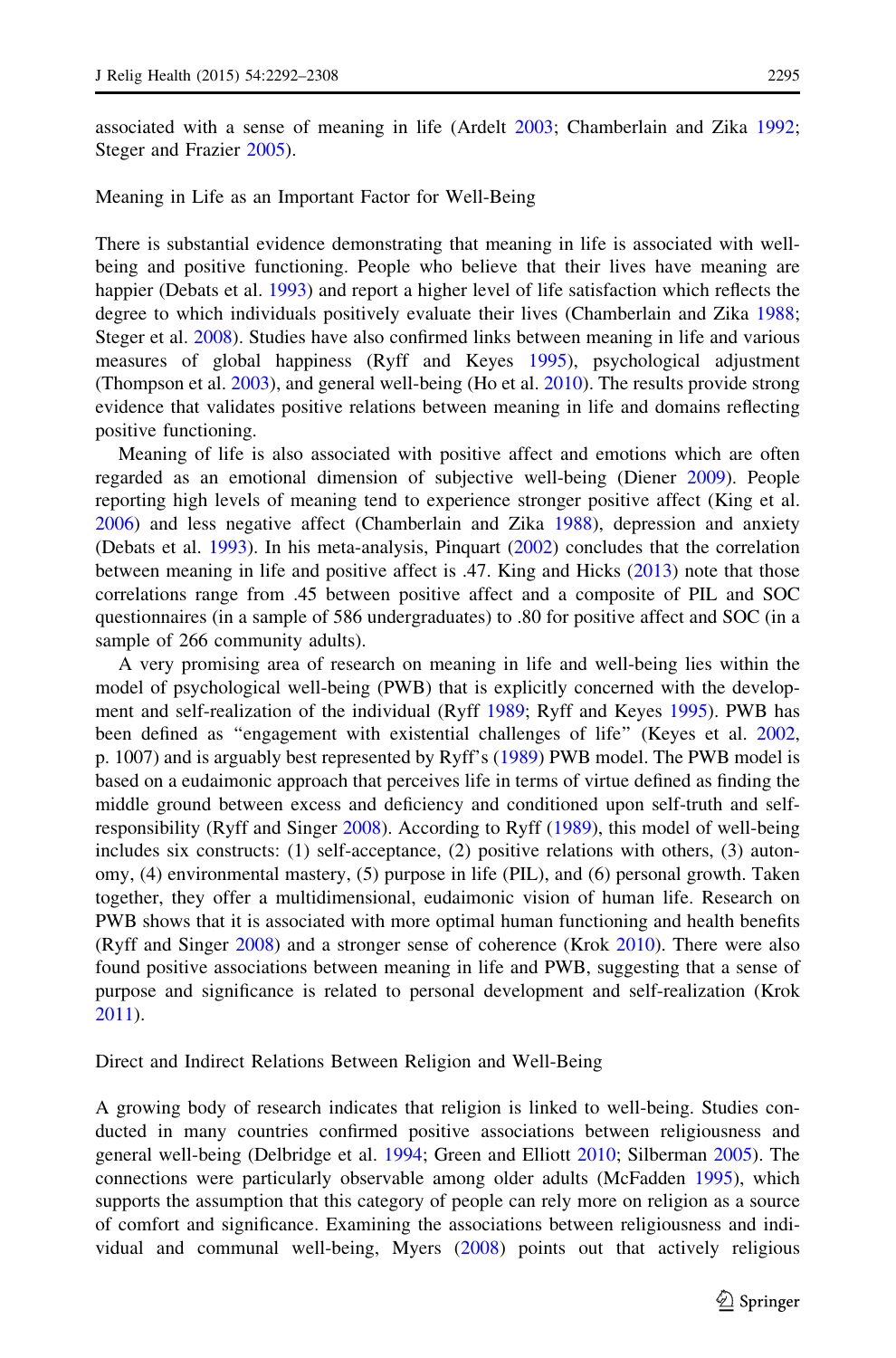associated with a sense of meaning in life (Ardelt [2003;](#page-14-0) Chamberlain and Zika [1992;](#page-14-0) Steger and Frazier [2005\)](#page-16-0).

Meaning in Life as an Important Factor for Well-Being

There is substantial evidence demonstrating that meaning in life is associated with wellbeing and positive functioning. People who believe that their lives have meaning are happier (Debats et al. [1993\)](#page-14-0) and report a higher level of life satisfaction which reflects the degree to which individuals positively evaluate their lives (Chamberlain and Zika [1988;](#page-14-0) Steger et al. [2008](#page-16-0)). Studies have also confirmed links between meaning in life and various measures of global happiness (Ryff and Keyes [1995](#page-16-0)), psychological adjustment (Thompson et al. [2003](#page-16-0)), and general well-being (Ho et al. [2010\)](#page-15-0). The results provide strong evidence that validates positive relations between meaning in life and domains reflecting positive functioning.

Meaning of life is also associated with positive affect and emotions which are often regarded as an emotional dimension of subjective well-being (Diener [2009](#page-14-0)). People reporting high levels of meaning tend to experience stronger positive affect (King et al. [2006\)](#page-15-0) and less negative affect (Chamberlain and Zika [1988\)](#page-14-0), depression and anxiety (Debats et al. [1993](#page-14-0)). In his meta-analysis, Pinquart [\(2002](#page-16-0)) concludes that the correlation between meaning in life and positive affect is .47. King and Hicks ([2013\)](#page-15-0) note that those correlations range from .45 between positive affect and a composite of PIL and SOC questionnaires (in a sample of 586 undergraduates) to .80 for positive affect and SOC (in a sample of 266 community adults).

A very promising area of research on meaning in life and well-being lies within the model of psychological well-being (PWB) that is explicitly concerned with the development and self-realization of the individual (Ryff [1989;](#page-16-0) Ryff and Keyes [1995](#page-16-0)). PWB has been defined as ''engagement with existential challenges of life'' (Keyes et al. [2002](#page-15-0), p. 1007) and is arguably best represented by Ryff's [\(1989](#page-16-0)) PWB model. The PWB model is based on a eudaimonic approach that perceives life in terms of virtue defined as finding the middle ground between excess and deficiency and conditioned upon self-truth and selfresponsibility (Ryff and Singer [2008](#page-16-0)). According to Ryff [\(1989](#page-16-0)), this model of well-being includes six constructs: (1) self-acceptance, (2) positive relations with others, (3) autonomy, (4) environmental mastery, (5) purpose in life (PIL), and (6) personal growth. Taken together, they offer a multidimensional, eudaimonic vision of human life. Research on PWB shows that it is associated with more optimal human functioning and health benefits (Ryff and Singer [2008](#page-16-0)) and a stronger sense of coherence (Krok [2010](#page-15-0)). There were also found positive associations between meaning in life and PWB, suggesting that a sense of purpose and significance is related to personal development and self-realization (Krok [2011\)](#page-15-0).

Direct and Indirect Relations Between Religion and Well-Being

A growing body of research indicates that religion is linked to well-being. Studies conducted in many countries confirmed positive associations between religiousness and general well-being (Delbridge et al. [1994](#page-14-0); Green and Elliott [2010](#page-15-0); Silberman [2005](#page-16-0)). The connections were particularly observable among older adults (McFadden [1995\)](#page-15-0), which supports the assumption that this category of people can rely more on religion as a source of comfort and significance. Examining the associations between religiousness and individual and communal well-being, Myers [\(2008](#page-15-0)) points out that actively religious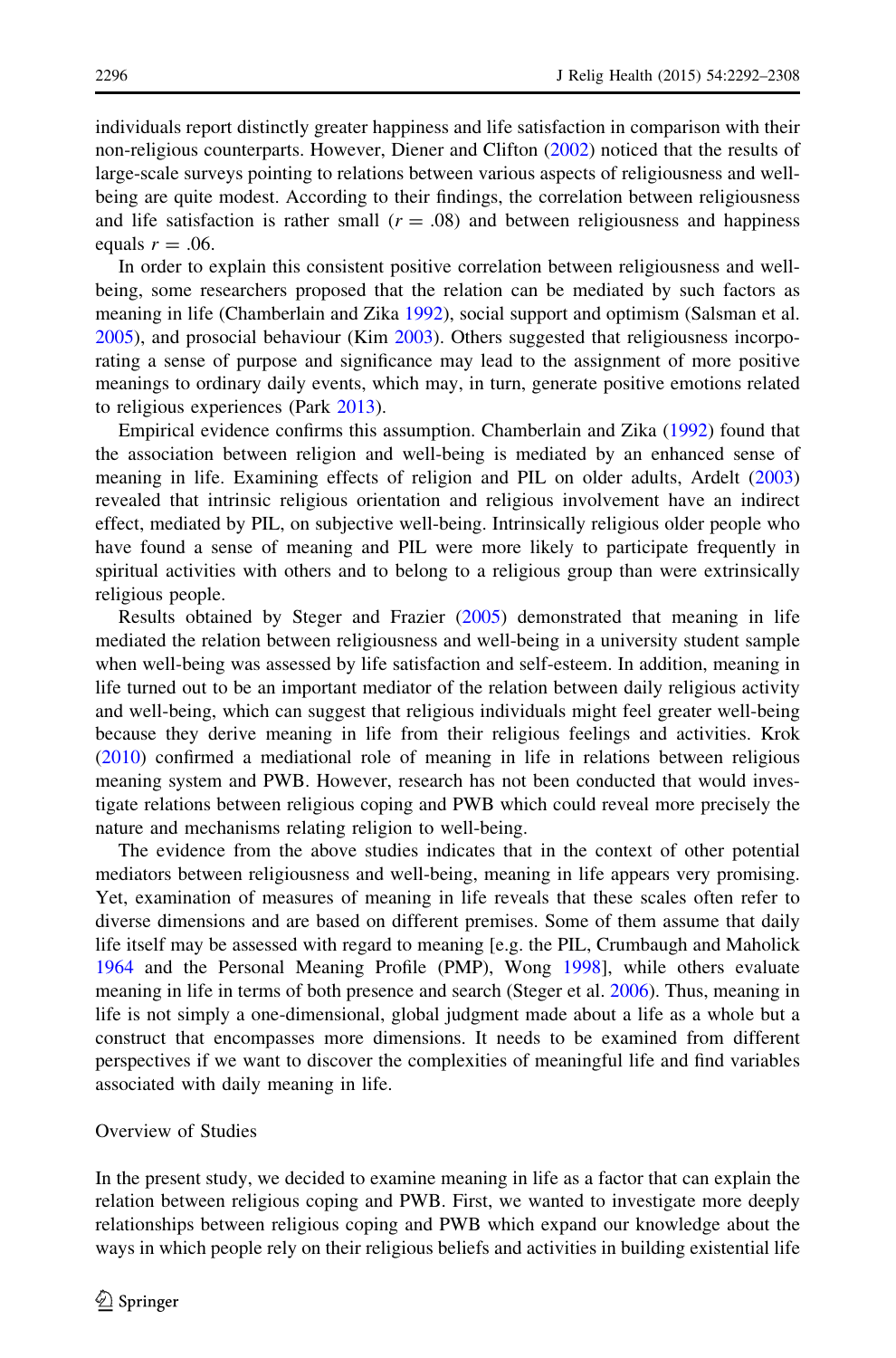individuals report distinctly greater happiness and life satisfaction in comparison with their non-religious counterparts. However, Diener and Clifton [\(2002\)](#page-15-0) noticed that the results of large-scale surveys pointing to relations between various aspects of religiousness and wellbeing are quite modest. According to their findings, the correlation between religiousness and life satisfaction is rather small  $(r = .08)$  and between religiousness and happiness equals  $r = .06$ .

In order to explain this consistent positive correlation between religiousness and wellbeing, some researchers proposed that the relation can be mediated by such factors as meaning in life (Chamberlain and Zika [1992](#page-14-0)), social support and optimism (Salsman et al. [2005\)](#page-16-0), and prosocial behaviour (Kim [2003\)](#page-15-0). Others suggested that religiousness incorporating a sense of purpose and significance may lead to the assignment of more positive meanings to ordinary daily events, which may, in turn, generate positive emotions related to religious experiences (Park [2013](#page-15-0)).

Empirical evidence confirms this assumption. Chamberlain and Zika [\(1992](#page-14-0)) found that the association between religion and well-being is mediated by an enhanced sense of meaning in life. Examining effects of religion and PIL on older adults, Ardelt ([2003](#page-14-0)) revealed that intrinsic religious orientation and religious involvement have an indirect effect, mediated by PIL, on subjective well-being. Intrinsically religious older people who have found a sense of meaning and PIL were more likely to participate frequently in spiritual activities with others and to belong to a religious group than were extrinsically religious people.

Results obtained by Steger and Frazier ([2005\)](#page-16-0) demonstrated that meaning in life mediated the relation between religiousness and well-being in a university student sample when well-being was assessed by life satisfaction and self-esteem. In addition, meaning in life turned out to be an important mediator of the relation between daily religious activity and well-being, which can suggest that religious individuals might feel greater well-being because they derive meaning in life from their religious feelings and activities. Krok ([2010\)](#page-15-0) confirmed a mediational role of meaning in life in relations between religious meaning system and PWB. However, research has not been conducted that would investigate relations between religious coping and PWB which could reveal more precisely the nature and mechanisms relating religion to well-being.

The evidence from the above studies indicates that in the context of other potential mediators between religiousness and well-being, meaning in life appears very promising. Yet, examination of measures of meaning in life reveals that these scales often refer to diverse dimensions and are based on different premises. Some of them assume that daily life itself may be assessed with regard to meaning [e.g. the PIL, Crumbaugh and Maholick [1964](#page-14-0) and the Personal Meaning Profile (PMP), Wong [1998](#page-16-0)], while others evaluate meaning in life in terms of both presence and search (Steger et al. [2006](#page-16-0)). Thus, meaning in life is not simply a one-dimensional, global judgment made about a life as a whole but a construct that encompasses more dimensions. It needs to be examined from different perspectives if we want to discover the complexities of meaningful life and find variables associated with daily meaning in life.

## Overview of Studies

In the present study, we decided to examine meaning in life as a factor that can explain the relation between religious coping and PWB. First, we wanted to investigate more deeply relationships between religious coping and PWB which expand our knowledge about the ways in which people rely on their religious beliefs and activities in building existential life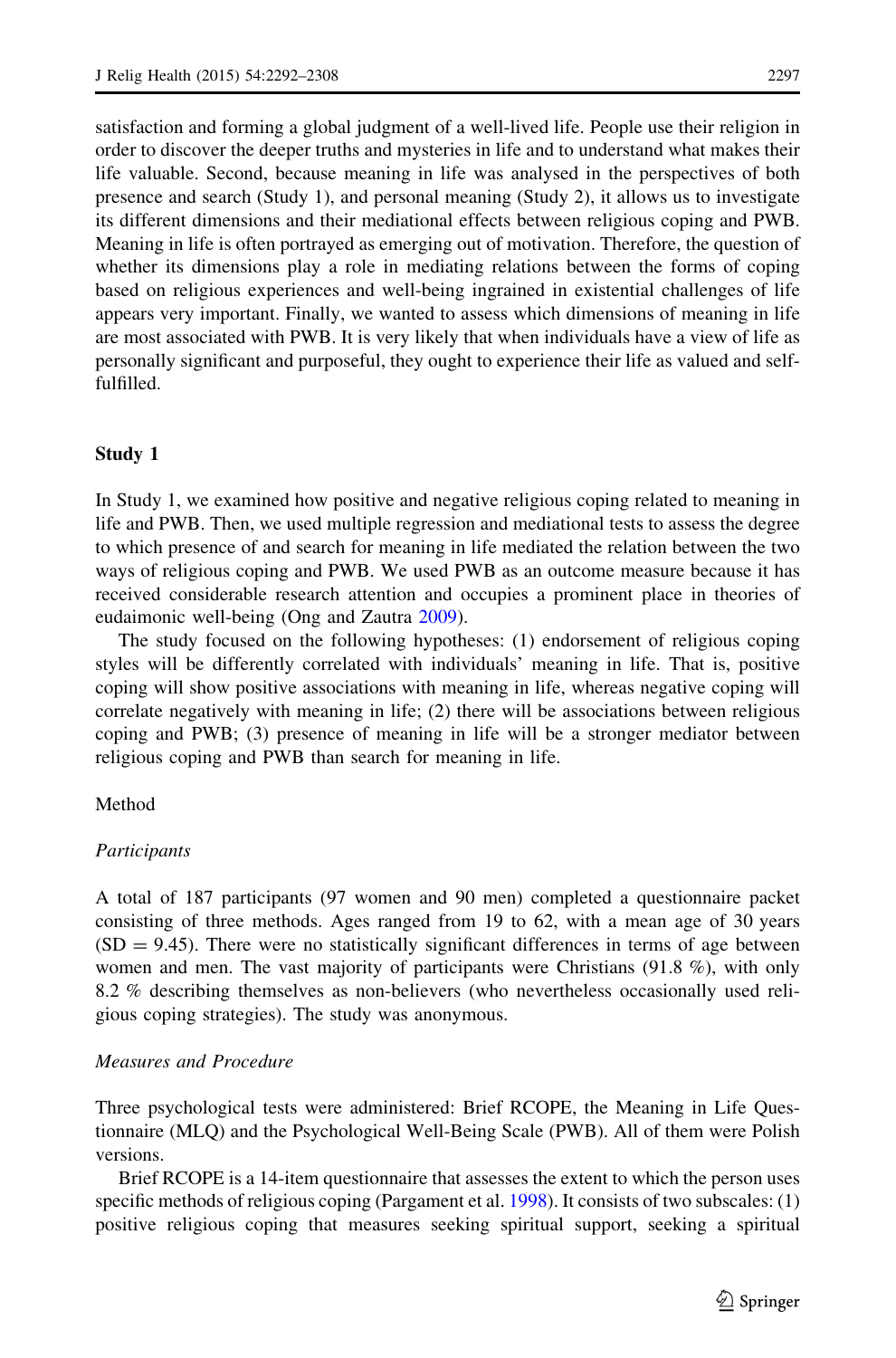satisfaction and forming a global judgment of a well-lived life. People use their religion in order to discover the deeper truths and mysteries in life and to understand what makes their life valuable. Second, because meaning in life was analysed in the perspectives of both presence and search (Study 1), and personal meaning (Study 2), it allows us to investigate its different dimensions and their mediational effects between religious coping and PWB. Meaning in life is often portrayed as emerging out of motivation. Therefore, the question of whether its dimensions play a role in mediating relations between the forms of coping based on religious experiences and well-being ingrained in existential challenges of life appears very important. Finally, we wanted to assess which dimensions of meaning in life are most associated with PWB. It is very likely that when individuals have a view of life as personally significant and purposeful, they ought to experience their life as valued and selffulfilled.

## Study 1

In Study 1, we examined how positive and negative religious coping related to meaning in life and PWB. Then, we used multiple regression and mediational tests to assess the degree to which presence of and search for meaning in life mediated the relation between the two ways of religious coping and PWB. We used PWB as an outcome measure because it has received considerable research attention and occupies a prominent place in theories of eudaimonic well-being (Ong and Zautra [2009](#page-15-0)).

The study focused on the following hypotheses: (1) endorsement of religious coping styles will be differently correlated with individuals' meaning in life. That is, positive coping will show positive associations with meaning in life, whereas negative coping will correlate negatively with meaning in life; (2) there will be associations between religious coping and PWB; (3) presence of meaning in life will be a stronger mediator between religious coping and PWB than search for meaning in life.

#### Method

#### Participants

A total of 187 participants (97 women and 90 men) completed a questionnaire packet consisting of three methods. Ages ranged from 19 to 62, with a mean age of 30 years  $(SD = 9.45)$ . There were no statistically significant differences in terms of age between women and men. The vast majority of participants were Christians (91.8 %), with only 8.2 % describing themselves as non-believers (who nevertheless occasionally used religious coping strategies). The study was anonymous.

## Measures and Procedure

Three psychological tests were administered: Brief RCOPE, the Meaning in Life Questionnaire (MLQ) and the Psychological Well-Being Scale (PWB). All of them were Polish versions.

Brief RCOPE is a 14-item questionnaire that assesses the extent to which the person uses specific methods of religious coping (Pargament et al. [1998\)](#page-15-0). It consists of two subscales: (1) positive religious coping that measures seeking spiritual support, seeking a spiritual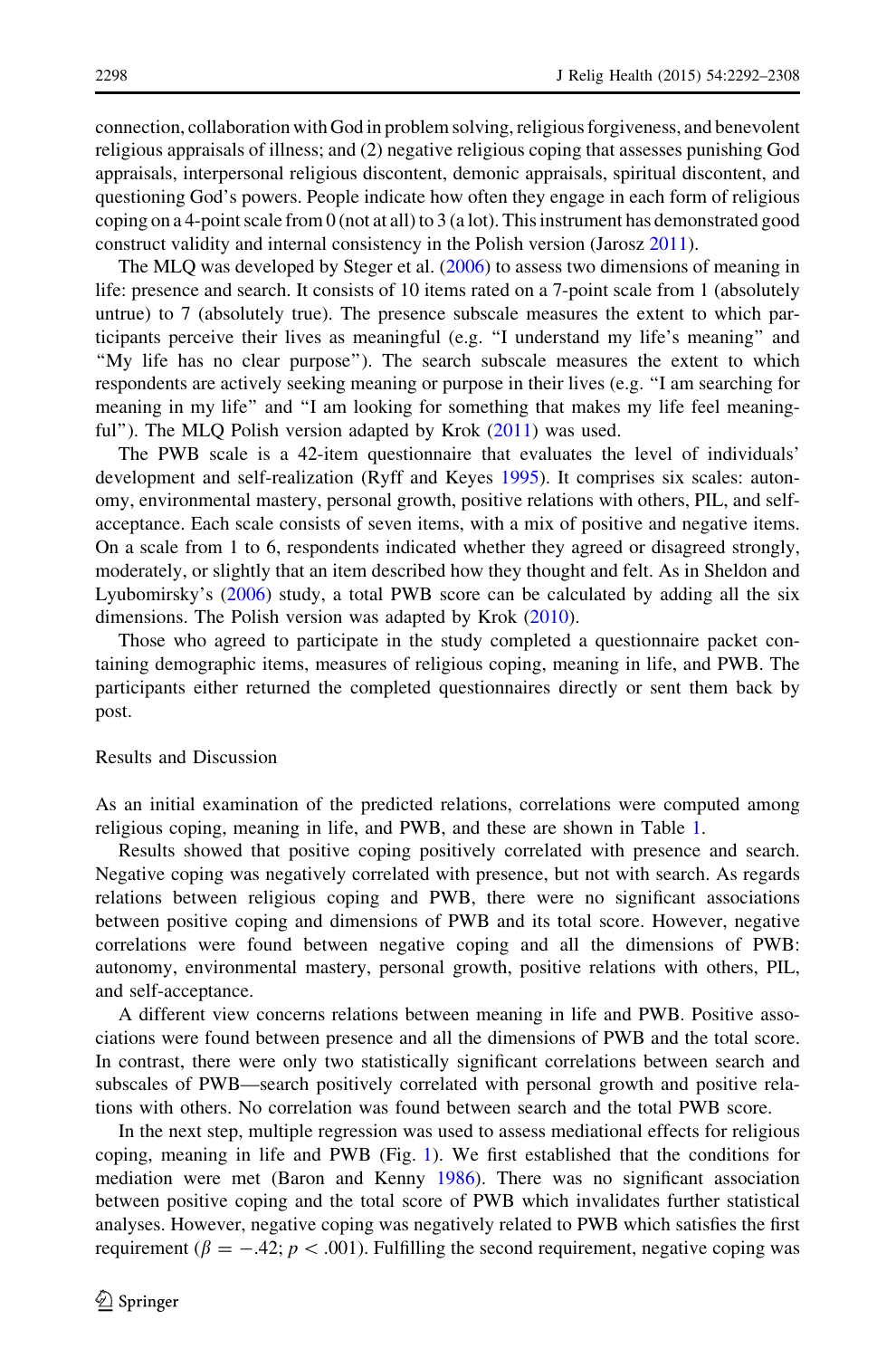connection, collaboration with God in problem solving, religious forgiveness, and benevolent religious appraisals of illness; and (2) negative religious coping that assesses punishing God appraisals, interpersonal religious discontent, demonic appraisals, spiritual discontent, and questioning God's powers. People indicate how often they engage in each form of religious coping on a 4-point scale from 0 (not at all) to 3 (a lot). This instrument has demonstrated good construct validity and internal consistency in the Polish version (Jarosz [2011\)](#page-15-0).

The MLQ was developed by Steger et al. ([2006\)](#page-16-0) to assess two dimensions of meaning in life: presence and search. It consists of 10 items rated on a 7-point scale from 1 (absolutely untrue) to 7 (absolutely true). The presence subscale measures the extent to which participants perceive their lives as meaningful (e.g. ''I understand my life's meaning'' and ''My life has no clear purpose''). The search subscale measures the extent to which respondents are actively seeking meaning or purpose in their lives (e.g. ''I am searching for meaning in my life" and "I am looking for something that makes my life feel meaning-ful"). The MLQ Polish version adapted by Krok [\(2011](#page-15-0)) was used.

The PWB scale is a 42-item questionnaire that evaluates the level of individuals' development and self-realization (Ryff and Keyes [1995\)](#page-16-0). It comprises six scales: autonomy, environmental mastery, personal growth, positive relations with others, PIL, and selfacceptance. Each scale consists of seven items, with a mix of positive and negative items. On a scale from 1 to 6, respondents indicated whether they agreed or disagreed strongly, moderately, or slightly that an item described how they thought and felt. As in Sheldon and Lyubomirsky's [\(2006](#page-16-0)) study, a total PWB score can be calculated by adding all the six dimensions. The Polish version was adapted by Krok [\(2010](#page-15-0)).

Those who agreed to participate in the study completed a questionnaire packet containing demographic items, measures of religious coping, meaning in life, and PWB. The participants either returned the completed questionnaires directly or sent them back by post.

#### Results and Discussion

As an initial examination of the predicted relations, correlations were computed among religious coping, meaning in life, and PWB, and these are shown in Table [1](#page-7-0).

Results showed that positive coping positively correlated with presence and search. Negative coping was negatively correlated with presence, but not with search. As regards relations between religious coping and PWB, there were no significant associations between positive coping and dimensions of PWB and its total score. However, negative correlations were found between negative coping and all the dimensions of PWB: autonomy, environmental mastery, personal growth, positive relations with others, PIL, and self-acceptance.

A different view concerns relations between meaning in life and PWB. Positive associations were found between presence and all the dimensions of PWB and the total score. In contrast, there were only two statistically significant correlations between search and subscales of PWB—search positively correlated with personal growth and positive relations with others. No correlation was found between search and the total PWB score.

In the next step, multiple regression was used to assess mediational effects for religious coping, meaning in life and PWB (Fig. [1](#page-8-0)). We first established that the conditions for mediation were met (Baron and Kenny [1986](#page-14-0)). There was no significant association between positive coping and the total score of PWB which invalidates further statistical analyses. However, negative coping was negatively related to PWB which satisfies the first requirement ( $\beta = -.42$ ;  $p < .001$ ). Fulfilling the second requirement, negative coping was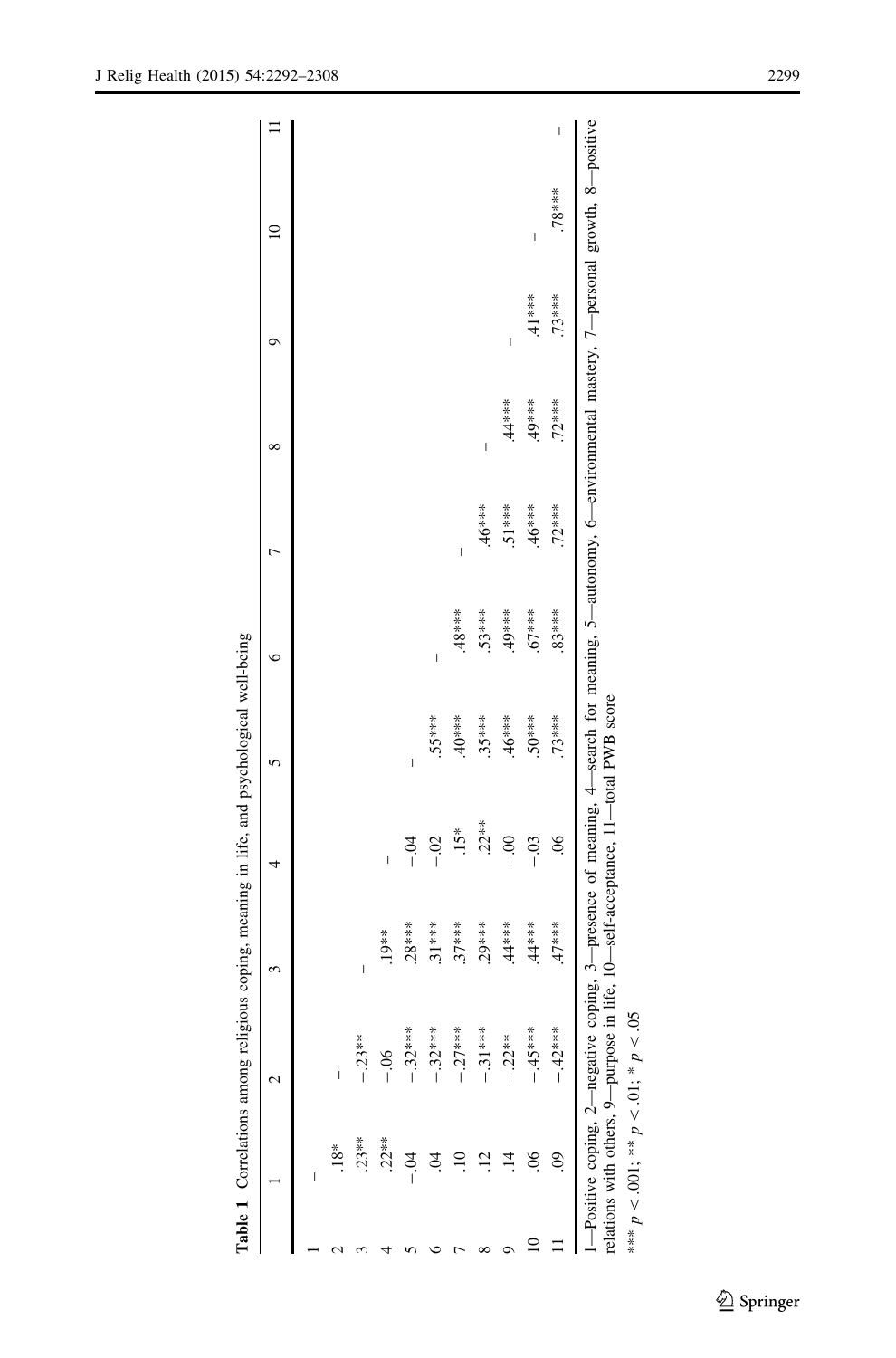<span id="page-7-0"></span>

|               |           | 3            |                           |          | ∘        |          | ∝                        | σ        | $\approx$    |              |
|---------------|-----------|--------------|---------------------------|----------|----------|----------|--------------------------|----------|--------------|--------------|
|               |           |              |                           |          |          |          |                          |          |              |              |
|               |           |              |                           |          |          |          |                          |          |              |              |
| $.23**$       | $-.23**$  | $\mathsf{I}$ |                           |          |          |          |                          |          |              |              |
| $.22**$       |           | $.19**$      | I                         |          |          |          |                          |          |              |              |
|               | $-.32***$ | $.28***$     | $-0.4$                    | I        |          |          |                          |          |              |              |
|               | $-.32***$ | $.31***$     | $-0.02$                   | $.55***$ | I        |          |                          |          |              |              |
|               | $-.27***$ | $.37***$     | $.15*$                    | $40***$  | $48***$  | I        |                          |          |              |              |
|               | $-31***$  | $.29***$     | $.22**$                   | $.35***$ | $.53***$ | $46***$  | $\overline{\phantom{a}}$ |          |              |              |
| $\vec{A}$     | $-.22**$  | $44**$       | $-0.00$                   | $46***$  | $49***$  | $51***$  | $.44***$                 | I        |              |              |
| $\mathcal{S}$ | $-45***$  | $44***$      | $-0.03$                   | $50***$  | $.67***$ | $46***$  | $49***$                  | $.41***$ | $\mathbf{I}$ |              |
|               | $-42***$  | $.47***$     | $\widetilde{\mathcal{S}}$ | $.73***$ | $83***$  | $.72***$ | $.72***$                 | $.73***$ | .78***       | $\mathsf{I}$ |

\*\*\*  $p\lt .001;$  \*\*  $p\lt .01;$  \*  $p\lt .05$ 

\*\*\*  $p < .001$ ; \*\*  $p < .01$ ; \*  $p < .05$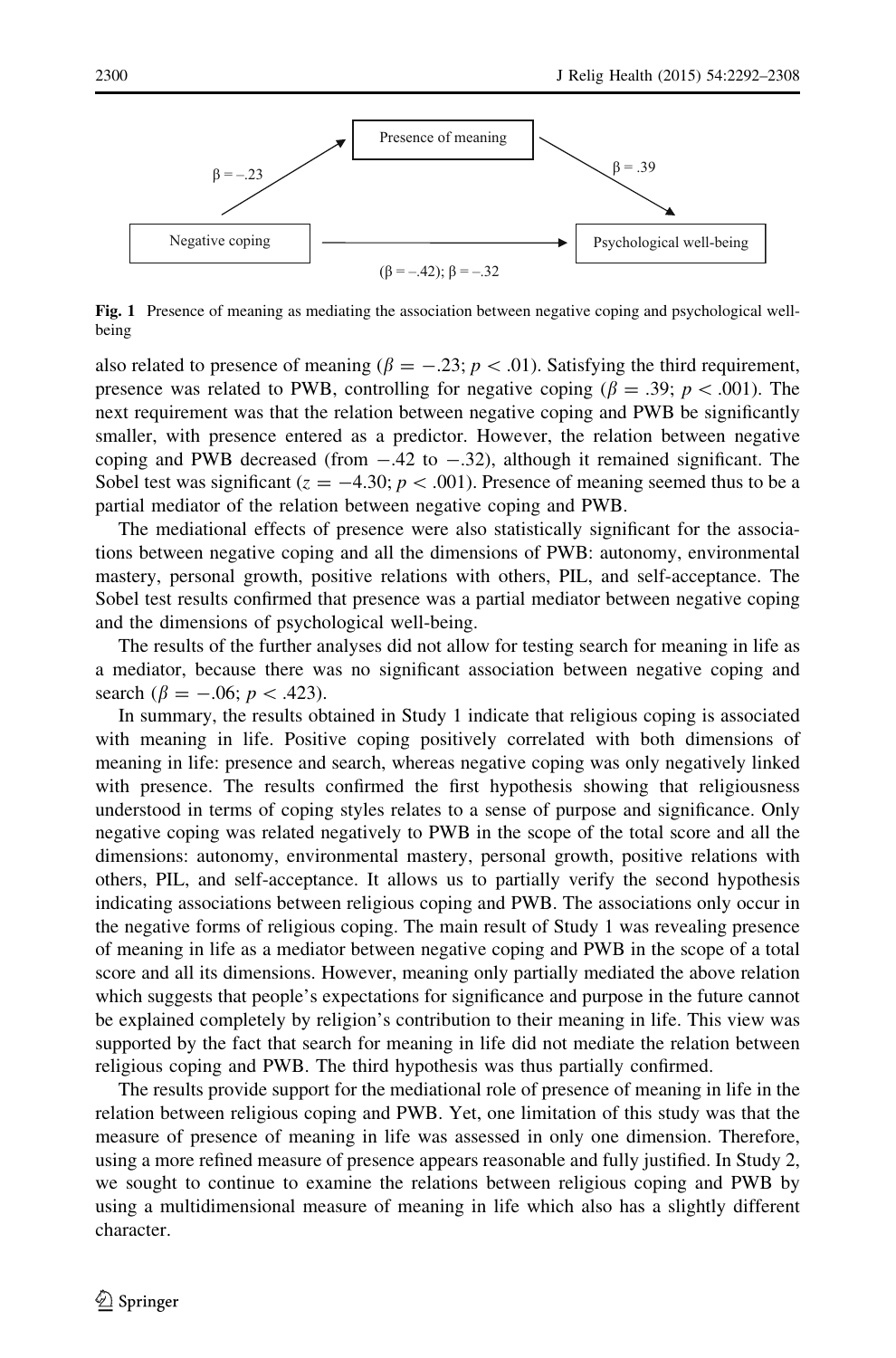<span id="page-8-0"></span>

Fig. 1 Presence of meaning as mediating the association between negative coping and psychological wellbeing

also related to presence of meaning ( $\beta = -.23$ ;  $p < .01$ ). Satisfying the third requirement, presence was related to PWB, controlling for negative coping ( $\beta = .39$ ;  $p < .001$ ). The next requirement was that the relation between negative coping and PWB be significantly smaller, with presence entered as a predictor. However, the relation between negative coping and PWB decreased (from  $-.42$  to  $-.32$ ), although it remained significant. The Sobel test was significant ( $z = -4.30$ ;  $p < .001$ ). Presence of meaning seemed thus to be a partial mediator of the relation between negative coping and PWB.

The mediational effects of presence were also statistically significant for the associations between negative coping and all the dimensions of PWB: autonomy, environmental mastery, personal growth, positive relations with others, PIL, and self-acceptance. The Sobel test results confirmed that presence was a partial mediator between negative coping and the dimensions of psychological well-being.

The results of the further analyses did not allow for testing search for meaning in life as a mediator, because there was no significant association between negative coping and search ( $\beta = -.06$ ;  $p < .423$ ).

In summary, the results obtained in Study 1 indicate that religious coping is associated with meaning in life. Positive coping positively correlated with both dimensions of meaning in life: presence and search, whereas negative coping was only negatively linked with presence. The results confirmed the first hypothesis showing that religiousness understood in terms of coping styles relates to a sense of purpose and significance. Only negative coping was related negatively to PWB in the scope of the total score and all the dimensions: autonomy, environmental mastery, personal growth, positive relations with others, PIL, and self-acceptance. It allows us to partially verify the second hypothesis indicating associations between religious coping and PWB. The associations only occur in the negative forms of religious coping. The main result of Study 1 was revealing presence of meaning in life as a mediator between negative coping and PWB in the scope of a total score and all its dimensions. However, meaning only partially mediated the above relation which suggests that people's expectations for significance and purpose in the future cannot be explained completely by religion's contribution to their meaning in life. This view was supported by the fact that search for meaning in life did not mediate the relation between religious coping and PWB. The third hypothesis was thus partially confirmed.

The results provide support for the mediational role of presence of meaning in life in the relation between religious coping and PWB. Yet, one limitation of this study was that the measure of presence of meaning in life was assessed in only one dimension. Therefore, using a more refined measure of presence appears reasonable and fully justified. In Study 2, we sought to continue to examine the relations between religious coping and PWB by using a multidimensional measure of meaning in life which also has a slightly different character.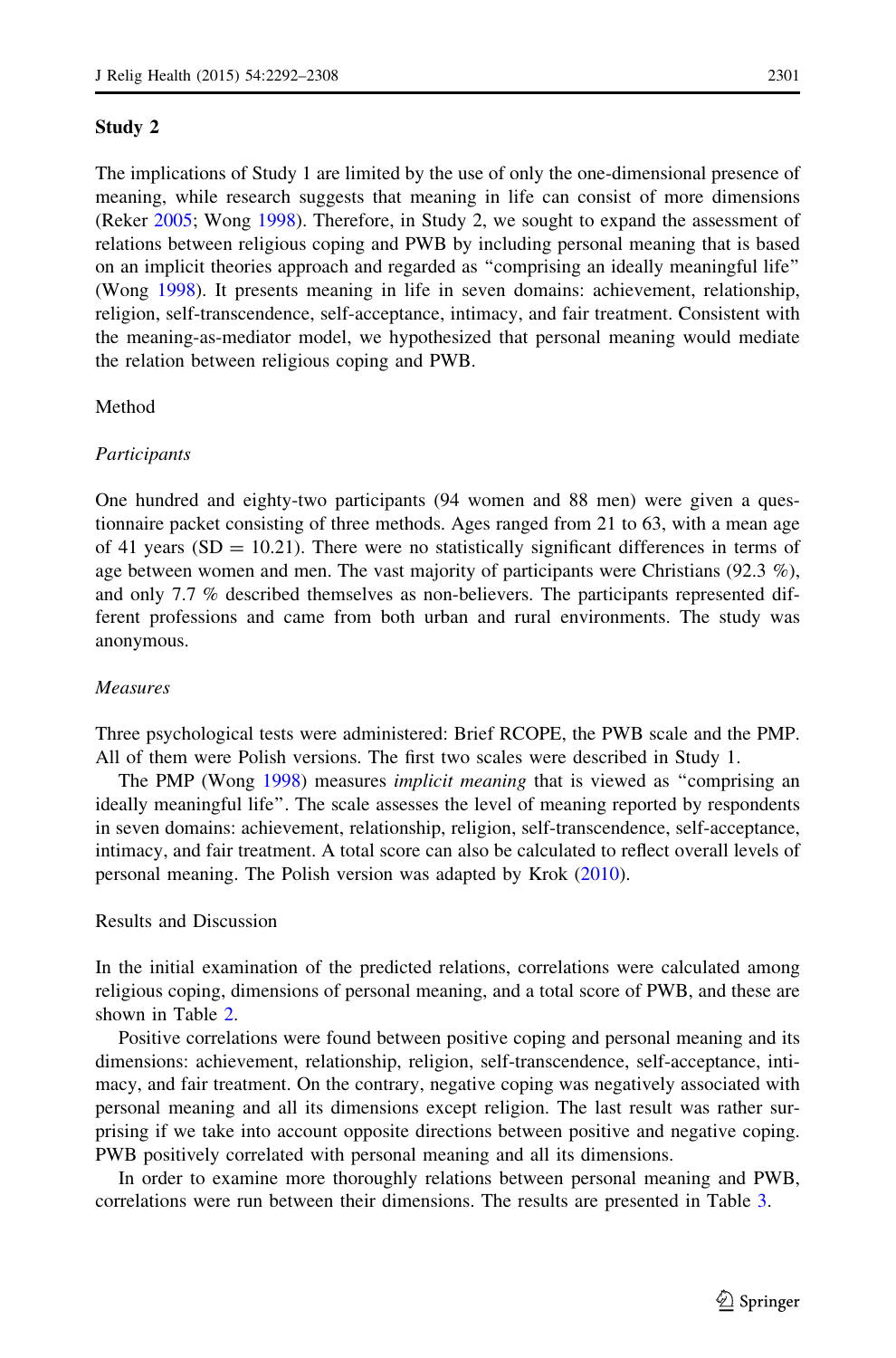## Study 2

The implications of Study 1 are limited by the use of only the one-dimensional presence of meaning, while research suggests that meaning in life can consist of more dimensions (Reker [2005;](#page-16-0) Wong [1998](#page-16-0)). Therefore, in Study 2, we sought to expand the assessment of relations between religious coping and PWB by including personal meaning that is based on an implicit theories approach and regarded as ''comprising an ideally meaningful life'' (Wong [1998\)](#page-16-0). It presents meaning in life in seven domains: achievement, relationship, religion, self-transcendence, self-acceptance, intimacy, and fair treatment. Consistent with the meaning-as-mediator model, we hypothesized that personal meaning would mediate the relation between religious coping and PWB.

# Method

# **Participants**

One hundred and eighty-two participants (94 women and 88 men) were given a questionnaire packet consisting of three methods. Ages ranged from 21 to 63, with a mean age of 41 years ( $SD = 10.21$ ). There were no statistically significant differences in terms of age between women and men. The vast majority of participants were Christians (92.3 %), and only 7.7 % described themselves as non-believers. The participants represented different professions and came from both urban and rural environments. The study was anonymous.

## Measures

Three psychological tests were administered: Brief RCOPE, the PWB scale and the PMP. All of them were Polish versions. The first two scales were described in Study 1.

The PMP (Wong [1998\)](#page-16-0) measures implicit meaning that is viewed as ''comprising an ideally meaningful life''. The scale assesses the level of meaning reported by respondents in seven domains: achievement, relationship, religion, self-transcendence, self-acceptance, intimacy, and fair treatment. A total score can also be calculated to reflect overall levels of personal meaning. The Polish version was adapted by Krok ([2010\)](#page-15-0).

# Results and Discussion

In the initial examination of the predicted relations, correlations were calculated among religious coping, dimensions of personal meaning, and a total score of PWB, and these are shown in Table [2.](#page-10-0)

Positive correlations were found between positive coping and personal meaning and its dimensions: achievement, relationship, religion, self-transcendence, self-acceptance, intimacy, and fair treatment. On the contrary, negative coping was negatively associated with personal meaning and all its dimensions except religion. The last result was rather surprising if we take into account opposite directions between positive and negative coping. PWB positively correlated with personal meaning and all its dimensions.

In order to examine more thoroughly relations between personal meaning and PWB, correlations were run between their dimensions. The results are presented in Table [3](#page-11-0).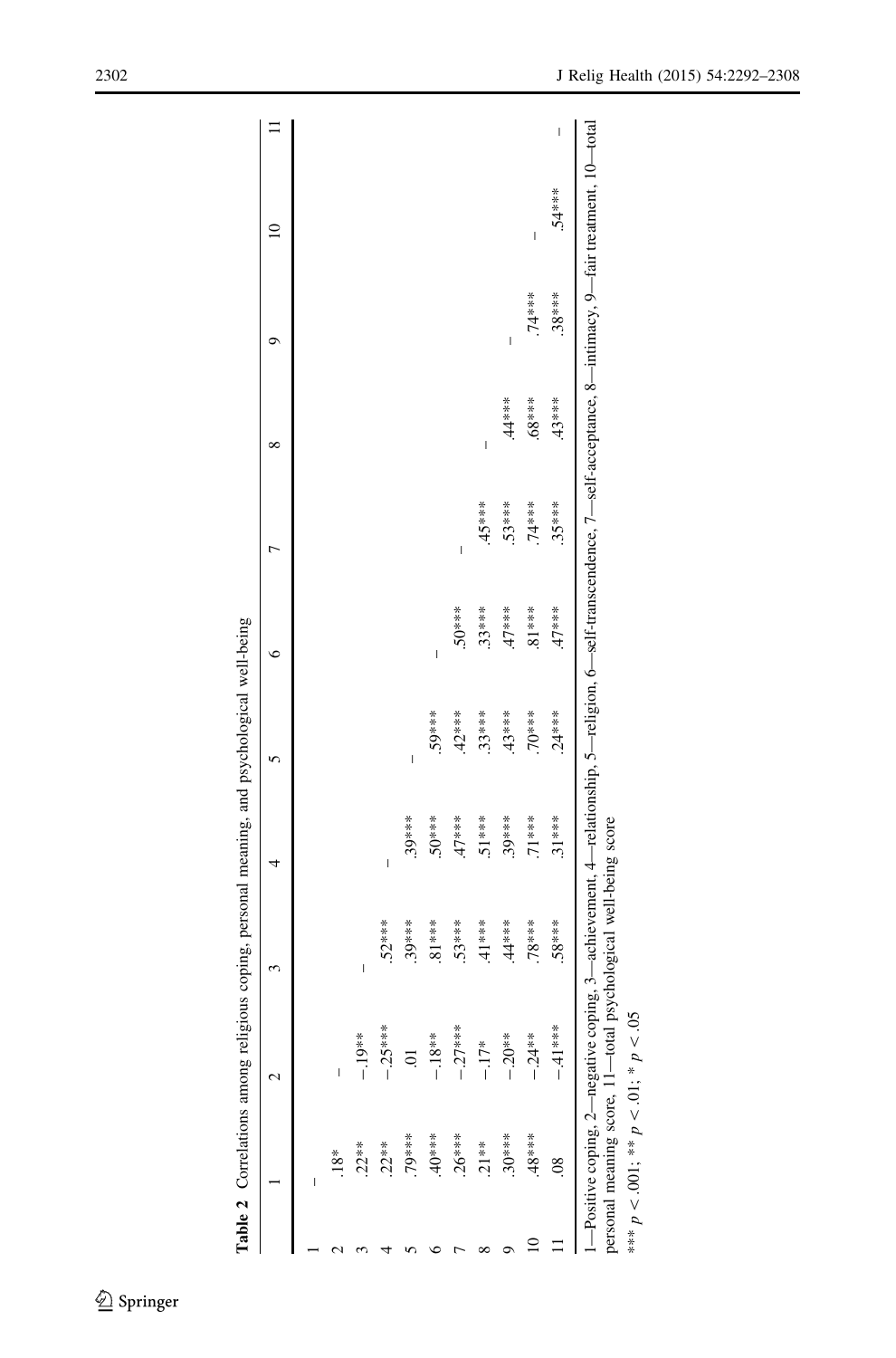<span id="page-10-0"></span>

|          |                                                                 |              |                          |              | ٥        |                          | ${}^{\circ}$ | ా        | $\Xi$                                                                                                                                                            |   |
|----------|-----------------------------------------------------------------|--------------|--------------------------|--------------|----------|--------------------------|--------------|----------|------------------------------------------------------------------------------------------------------------------------------------------------------------------|---|
|          |                                                                 |              |                          |              |          |                          |              |          |                                                                                                                                                                  |   |
| $18*$    |                                                                 |              |                          |              |          |                          |              |          |                                                                                                                                                                  |   |
| $.22**$  | $-19***$                                                        | $\mathsf{I}$ |                          |              |          |                          |              |          |                                                                                                                                                                  |   |
| $.22**$  | $-.25***$                                                       | $.52***$     | $\overline{\phantom{a}}$ |              |          |                          |              |          |                                                                                                                                                                  |   |
| .79****  |                                                                 | $.39***$     | $.39***$                 | $\mathbf{I}$ |          |                          |              |          |                                                                                                                                                                  |   |
| $40**$   | $.18**$                                                         | $.81***$     | $50***$                  | $.59***$     | I        |                          |              |          |                                                                                                                                                                  |   |
| $.26***$ | $27***$                                                         | $.53***$     | $47***$                  | $.42***$     | $50***$  | $\overline{\phantom{a}}$ |              |          |                                                                                                                                                                  |   |
| $.21**$  | 17*                                                             | $.41***$     | $.51***$                 | $.33***$     | $.33***$ | $45***$                  | I            |          |                                                                                                                                                                  |   |
| $.30***$ | $-0.20**$                                                       | $44**$       | $.39***$                 | $.43***$     | $.47***$ | $.53***$                 | $.44**$      | I        |                                                                                                                                                                  |   |
| $.48***$ | $-.24**$                                                        | $.78***$     | .71***                   | $.70***$     | $.81***$ | .74***                   | $58***$      | .74***   | I                                                                                                                                                                |   |
|          | $-41***$                                                        | .58***       | $.31***$                 | $.24***$     | $47***$  | $.35***$                 | 43***        | $.38***$ | 54****                                                                                                                                                           | I |
|          |                                                                 |              |                          |              |          |                          |              |          | - Positive coping, 2—negative coping, 3—achievement, 4—relationship, 5—religion, 6—self-transcendence, 7—self-acceptance, 8—intimacy, 9—fair treatment, 10—total |   |
|          | personal meaning score, 11-total psychological well-being score |              |                          |              |          |                          |              |          |                                                                                                                                                                  |   |
|          |                                                                 |              |                          |              |          |                          |              |          |                                                                                                                                                                  |   |

**Table 2** Correlations among religious coping, personal meaning, and psychological well-being Table 2 Correlations among religious coping, personal meaning, and psychological well-being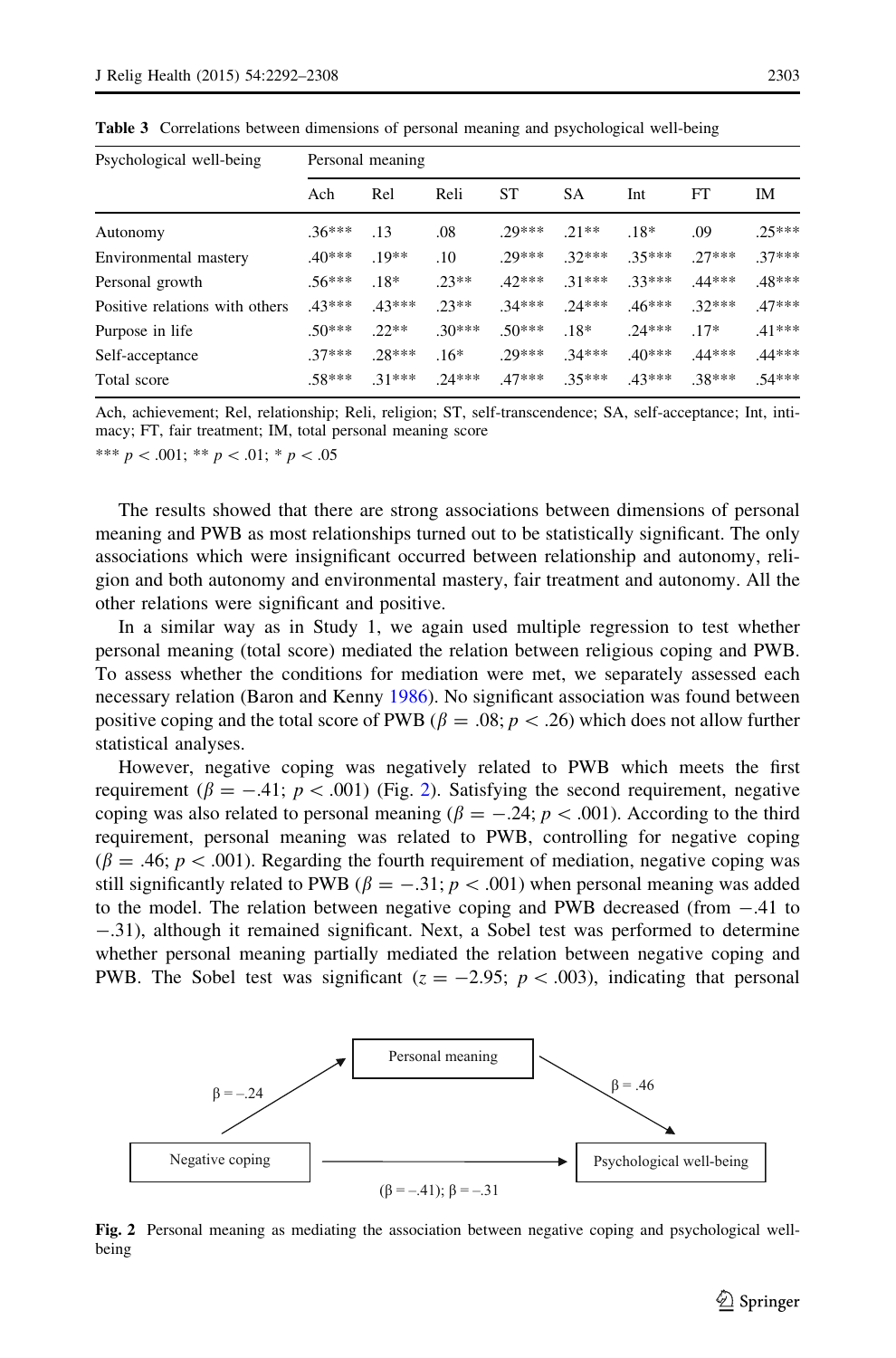| Psychological well-being       |          | Personal meaning |          |          |          |          |          |           |
|--------------------------------|----------|------------------|----------|----------|----------|----------|----------|-----------|
|                                | Ach      | Rel              | Reli     | ST       | SА       | Int      | FT       | <b>IM</b> |
| Autonomy                       | $.36***$ | .13              | .08      | $20***$  | $21**$   | $.18*$   | .09      | $25***$   |
| Environmental mastery          | $.40***$ | $.19**$          | .10      | $20***$  | $32***$  | $.35***$ | $27***$  | $.37***$  |
| Personal growth                | $.56***$ | $.18*$           | $.23**$  | $42***$  | $31***$  | $.33***$ | $.44***$ | .48***    |
| Positive relations with others | $.43***$ | $.43***$         | $.23**$  | $34***$  | $24***$  | $.46***$ | $.32***$ | $.47***$  |
| Purpose in life                | $.50***$ | $22**$           | $.30***$ | $.50***$ | $.18*$   | $24***$  | $.17*$   | $.41***$  |
| Self-acceptance                | $.37***$ | $.28***$         | $.16*$   | $20***$  | $.34***$ | $.40***$ | $.44***$ | $.44***$  |
| Total score                    | $.58***$ | $31***$          | $24***$  | $.47***$ | $.35***$ | $.43***$ | $.38***$ | $.54***$  |

<span id="page-11-0"></span>Table 3 Correlations between dimensions of personal meaning and psychological well-being

Ach, achievement; Rel, relationship; Reli, religion; ST, self-transcendence; SA, self-acceptance; Int, intimacy; FT, fair treatment; IM, total personal meaning score

\*\*\*  $p$  < .001; \*\*  $p$  < .01; \*  $p$  < .05

The results showed that there are strong associations between dimensions of personal meaning and PWB as most relationships turned out to be statistically significant. The only associations which were insignificant occurred between relationship and autonomy, religion and both autonomy and environmental mastery, fair treatment and autonomy. All the other relations were significant and positive.

In a similar way as in Study 1, we again used multiple regression to test whether personal meaning (total score) mediated the relation between religious coping and PWB. To assess whether the conditions for mediation were met, we separately assessed each necessary relation (Baron and Kenny [1986\)](#page-14-0). No significant association was found between positive coping and the total score of PWB ( $\beta = .08$ ;  $p \lt .26$ ) which does not allow further statistical analyses.

However, negative coping was negatively related to PWB which meets the first requirement ( $\beta = -.41$ ;  $p < .001$ ) (Fig. 2). Satisfying the second requirement, negative coping was also related to personal meaning ( $\beta = -.24$ ;  $p < .001$ ). According to the third requirement, personal meaning was related to PWB, controlling for negative coping  $(\beta = .46; p < .001)$ . Regarding the fourth requirement of mediation, negative coping was still significantly related to PWB ( $\beta = -.31$ ;  $p < .001$ ) when personal meaning was added to the model. The relation between negative coping and PWB decreased (from -.41 to -.31), although it remained significant. Next, a Sobel test was performed to determine whether personal meaning partially mediated the relation between negative coping and PWB. The Sobel test was significant ( $z = -2.95$ ;  $p \lt .003$ ), indicating that personal



Fig. 2 Personal meaning as mediating the association between negative coping and psychological wellbeing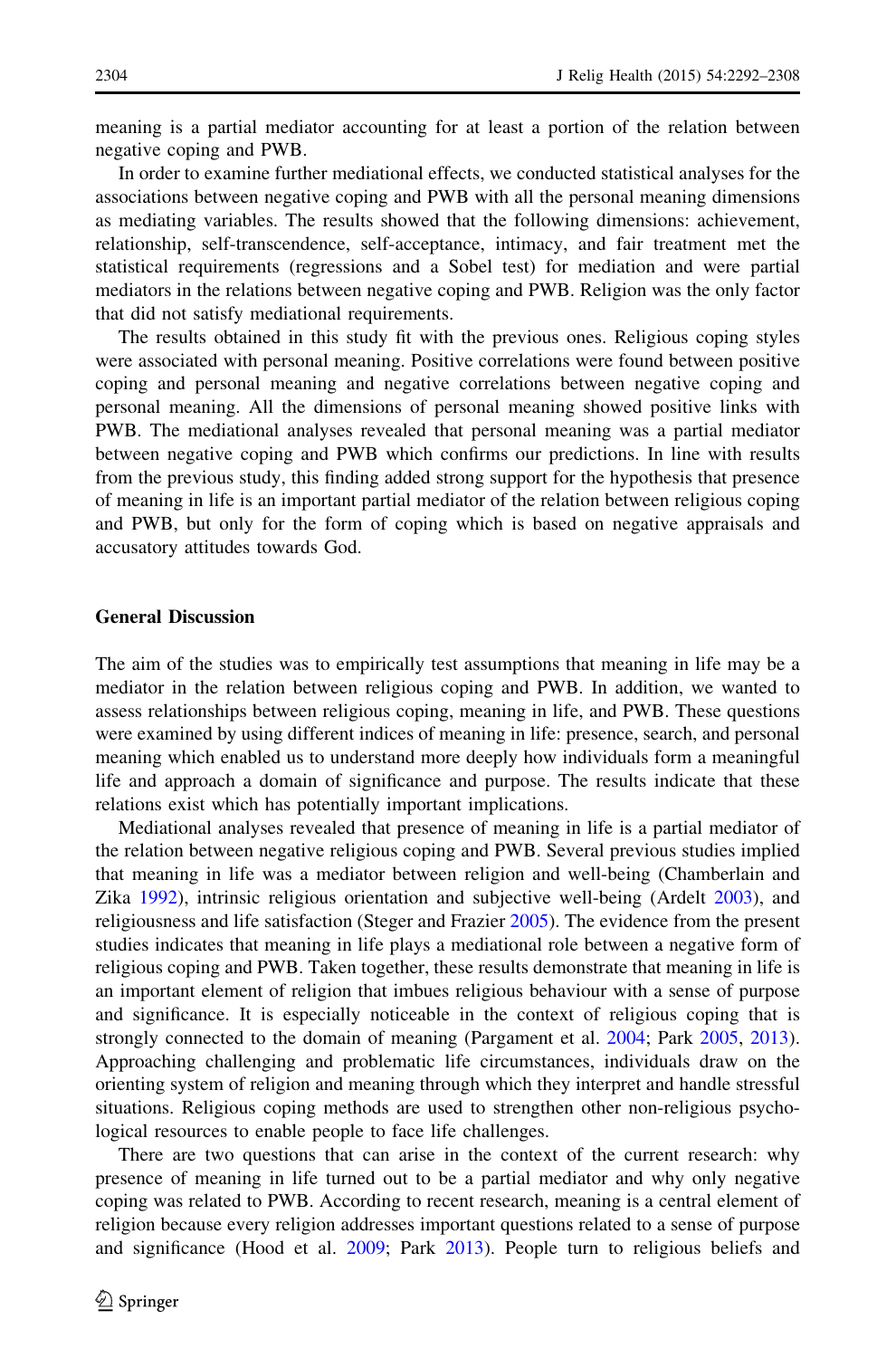meaning is a partial mediator accounting for at least a portion of the relation between negative coping and PWB.

In order to examine further mediational effects, we conducted statistical analyses for the associations between negative coping and PWB with all the personal meaning dimensions as mediating variables. The results showed that the following dimensions: achievement, relationship, self-transcendence, self-acceptance, intimacy, and fair treatment met the statistical requirements (regressions and a Sobel test) for mediation and were partial mediators in the relations between negative coping and PWB. Religion was the only factor that did not satisfy mediational requirements.

The results obtained in this study fit with the previous ones. Religious coping styles were associated with personal meaning. Positive correlations were found between positive coping and personal meaning and negative correlations between negative coping and personal meaning. All the dimensions of personal meaning showed positive links with PWB. The mediational analyses revealed that personal meaning was a partial mediator between negative coping and PWB which confirms our predictions. In line with results from the previous study, this finding added strong support for the hypothesis that presence of meaning in life is an important partial mediator of the relation between religious coping and PWB, but only for the form of coping which is based on negative appraisals and accusatory attitudes towards God.

#### General Discussion

The aim of the studies was to empirically test assumptions that meaning in life may be a mediator in the relation between religious coping and PWB. In addition, we wanted to assess relationships between religious coping, meaning in life, and PWB. These questions were examined by using different indices of meaning in life: presence, search, and personal meaning which enabled us to understand more deeply how individuals form a meaningful life and approach a domain of significance and purpose. The results indicate that these relations exist which has potentially important implications.

Mediational analyses revealed that presence of meaning in life is a partial mediator of the relation between negative religious coping and PWB. Several previous studies implied that meaning in life was a mediator between religion and well-being (Chamberlain and Zika [1992](#page-14-0)), intrinsic religious orientation and subjective well-being (Ardelt [2003](#page-14-0)), and religiousness and life satisfaction (Steger and Frazier [2005](#page-16-0)). The evidence from the present studies indicates that meaning in life plays a mediational role between a negative form of religious coping and PWB. Taken together, these results demonstrate that meaning in life is an important element of religion that imbues religious behaviour with a sense of purpose and significance. It is especially noticeable in the context of religious coping that is strongly connected to the domain of meaning (Pargament et al. [2004;](#page-15-0) Park [2005](#page-15-0), [2013](#page-15-0)). Approaching challenging and problematic life circumstances, individuals draw on the orienting system of religion and meaning through which they interpret and handle stressful situations. Religious coping methods are used to strengthen other non-religious psychological resources to enable people to face life challenges.

There are two questions that can arise in the context of the current research: why presence of meaning in life turned out to be a partial mediator and why only negative coping was related to PWB. According to recent research, meaning is a central element of religion because every religion addresses important questions related to a sense of purpose and significance (Hood et al. [2009](#page-15-0); Park [2013\)](#page-15-0). People turn to religious beliefs and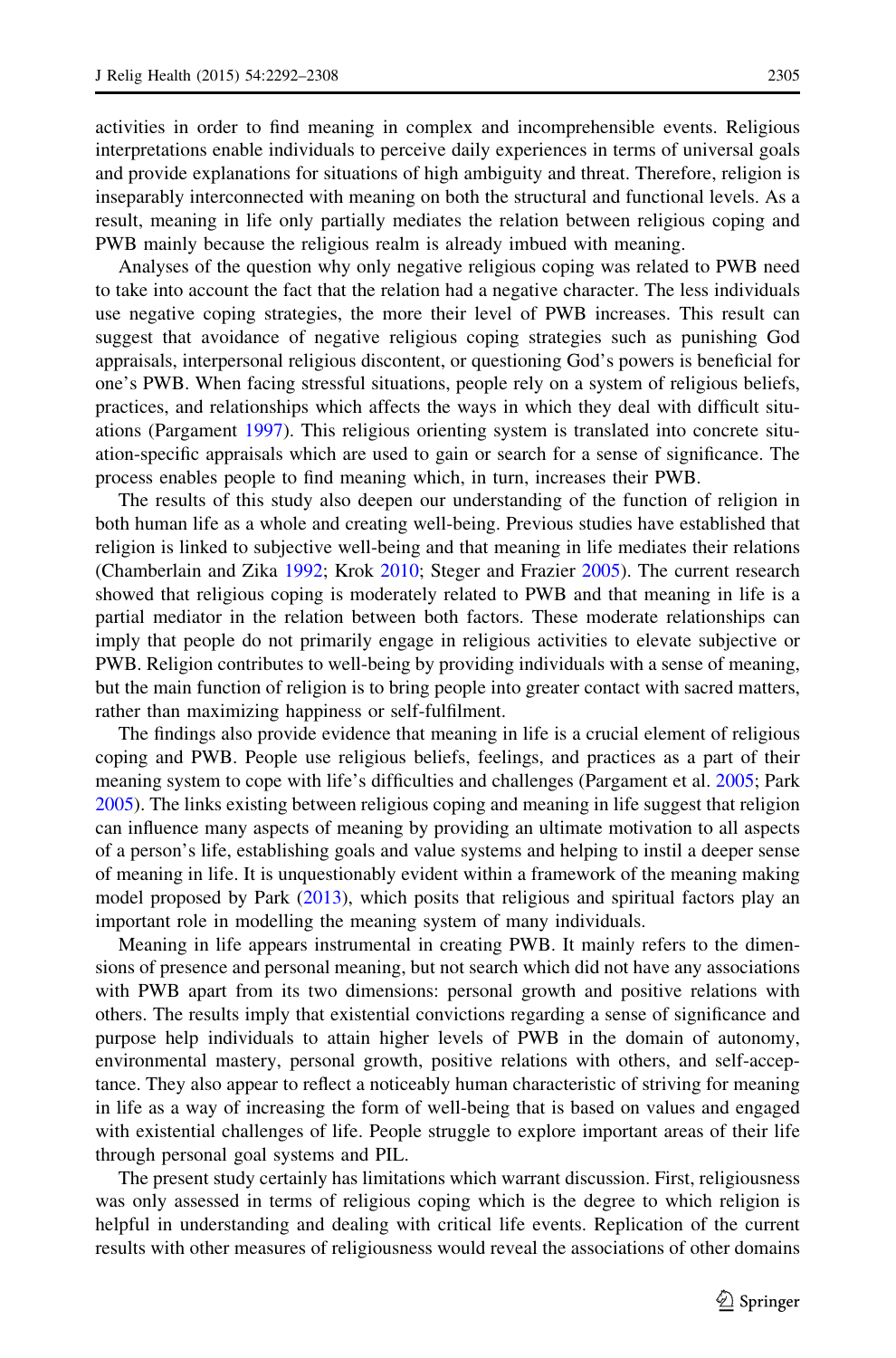activities in order to find meaning in complex and incomprehensible events. Religious interpretations enable individuals to perceive daily experiences in terms of universal goals and provide explanations for situations of high ambiguity and threat. Therefore, religion is inseparably interconnected with meaning on both the structural and functional levels. As a result, meaning in life only partially mediates the relation between religious coping and PWB mainly because the religious realm is already imbued with meaning.

Analyses of the question why only negative religious coping was related to PWB need to take into account the fact that the relation had a negative character. The less individuals use negative coping strategies, the more their level of PWB increases. This result can suggest that avoidance of negative religious coping strategies such as punishing God appraisals, interpersonal religious discontent, or questioning God's powers is beneficial for one's PWB. When facing stressful situations, people rely on a system of religious beliefs, practices, and relationships which affects the ways in which they deal with difficult situations (Pargament [1997\)](#page-15-0). This religious orienting system is translated into concrete situation-specific appraisals which are used to gain or search for a sense of significance. The process enables people to find meaning which, in turn, increases their PWB.

The results of this study also deepen our understanding of the function of religion in both human life as a whole and creating well-being. Previous studies have established that religion is linked to subjective well-being and that meaning in life mediates their relations (Chamberlain and Zika [1992](#page-14-0); Krok [2010;](#page-15-0) Steger and Frazier [2005](#page-16-0)). The current research showed that religious coping is moderately related to PWB and that meaning in life is a partial mediator in the relation between both factors. These moderate relationships can imply that people do not primarily engage in religious activities to elevate subjective or PWB. Religion contributes to well-being by providing individuals with a sense of meaning, but the main function of religion is to bring people into greater contact with sacred matters, rather than maximizing happiness or self-fulfilment.

The findings also provide evidence that meaning in life is a crucial element of religious coping and PWB. People use religious beliefs, feelings, and practices as a part of their meaning system to cope with life's difficulties and challenges (Pargament et al. [2005](#page-15-0); Park [2005\)](#page-15-0). The links existing between religious coping and meaning in life suggest that religion can influence many aspects of meaning by providing an ultimate motivation to all aspects of a person's life, establishing goals and value systems and helping to instil a deeper sense of meaning in life. It is unquestionably evident within a framework of the meaning making model proposed by Park ([2013\)](#page-15-0), which posits that religious and spiritual factors play an important role in modelling the meaning system of many individuals.

Meaning in life appears instrumental in creating PWB. It mainly refers to the dimensions of presence and personal meaning, but not search which did not have any associations with PWB apart from its two dimensions: personal growth and positive relations with others. The results imply that existential convictions regarding a sense of significance and purpose help individuals to attain higher levels of PWB in the domain of autonomy, environmental mastery, personal growth, positive relations with others, and self-acceptance. They also appear to reflect a noticeably human characteristic of striving for meaning in life as a way of increasing the form of well-being that is based on values and engaged with existential challenges of life. People struggle to explore important areas of their life through personal goal systems and PIL.

The present study certainly has limitations which warrant discussion. First, religiousness was only assessed in terms of religious coping which is the degree to which religion is helpful in understanding and dealing with critical life events. Replication of the current results with other measures of religiousness would reveal the associations of other domains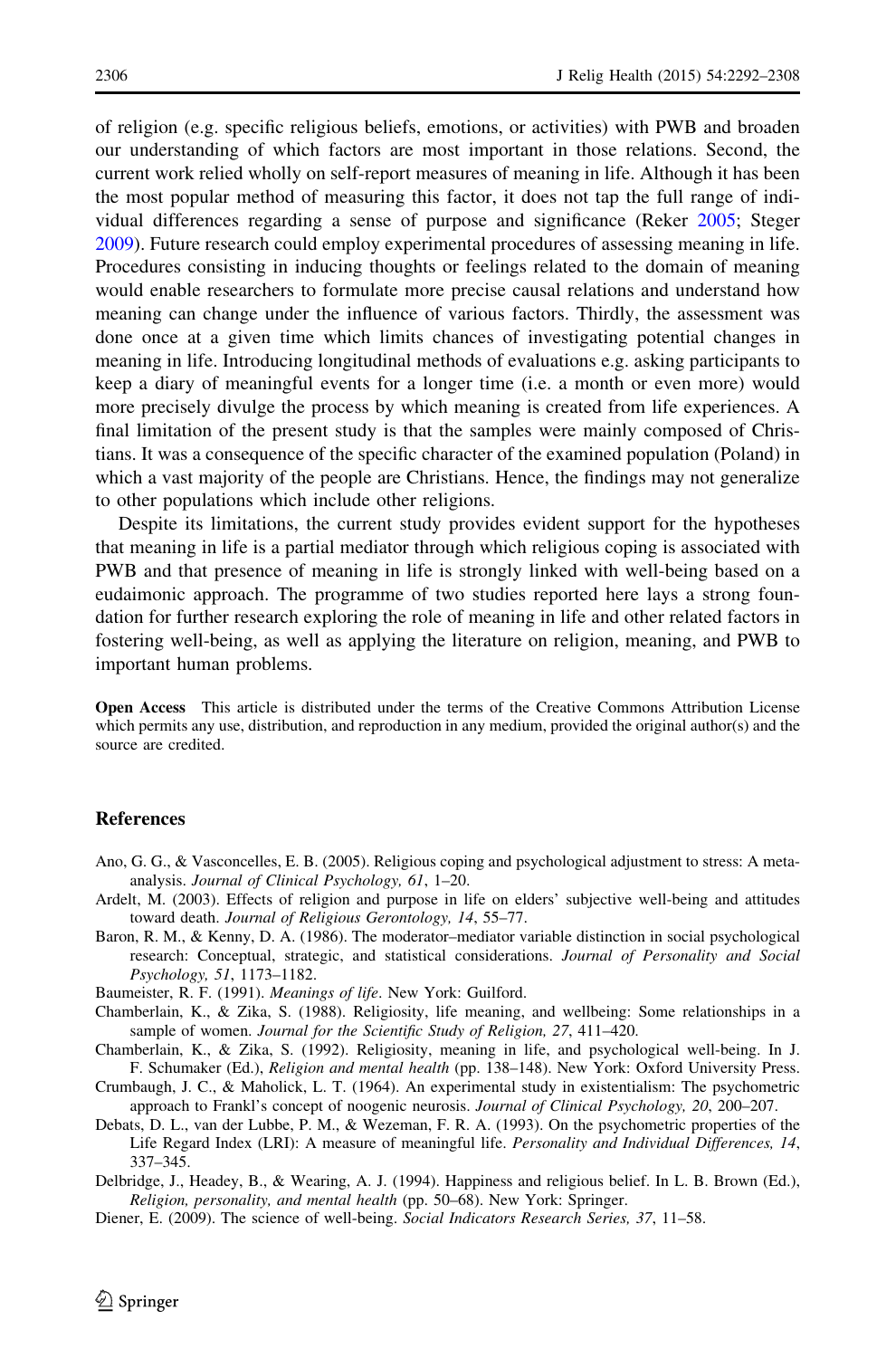<span id="page-14-0"></span>of religion (e.g. specific religious beliefs, emotions, or activities) with PWB and broaden our understanding of which factors are most important in those relations. Second, the current work relied wholly on self-report measures of meaning in life. Although it has been the most popular method of measuring this factor, it does not tap the full range of individual differences regarding a sense of purpose and significance (Reker [2005](#page-16-0); Steger [2009\)](#page-16-0). Future research could employ experimental procedures of assessing meaning in life. Procedures consisting in inducing thoughts or feelings related to the domain of meaning would enable researchers to formulate more precise causal relations and understand how meaning can change under the influence of various factors. Thirdly, the assessment was done once at a given time which limits chances of investigating potential changes in meaning in life. Introducing longitudinal methods of evaluations e.g. asking participants to keep a diary of meaningful events for a longer time (i.e. a month or even more) would more precisely divulge the process by which meaning is created from life experiences. A final limitation of the present study is that the samples were mainly composed of Christians. It was a consequence of the specific character of the examined population (Poland) in which a vast majority of the people are Christians. Hence, the findings may not generalize to other populations which include other religions.

Despite its limitations, the current study provides evident support for the hypotheses that meaning in life is a partial mediator through which religious coping is associated with PWB and that presence of meaning in life is strongly linked with well-being based on a eudaimonic approach. The programme of two studies reported here lays a strong foundation for further research exploring the role of meaning in life and other related factors in fostering well-being, as well as applying the literature on religion, meaning, and PWB to important human problems.

Open Access This article is distributed under the terms of the Creative Commons Attribution License which permits any use, distribution, and reproduction in any medium, provided the original author(s) and the source are credited.

## **References**

- Ano, G. G., & Vasconcelles, E. B. (2005). Religious coping and psychological adjustment to stress: A metaanalysis. Journal of Clinical Psychology, 61, 1–20.
- Ardelt, M. (2003). Effects of religion and purpose in life on elders' subjective well-being and attitudes toward death. Journal of Religious Gerontology, 14, 55–77.
- Baron, R. M., & Kenny, D. A. (1986). The moderator–mediator variable distinction in social psychological research: Conceptual, strategic, and statistical considerations. Journal of Personality and Social Psychology, 51, 1173–1182.
- Baumeister, R. F. (1991). Meanings of life. New York: Guilford.
- Chamberlain, K., & Zika, S. (1988). Religiosity, life meaning, and wellbeing: Some relationships in a sample of women. Journal for the Scientific Study of Religion, 27, 411–420.
- Chamberlain, K., & Zika, S. (1992). Religiosity, meaning in life, and psychological well-being. In J. F. Schumaker (Ed.), Religion and mental health (pp. 138–148). New York: Oxford University Press. Crumbaugh, J. C., & Maholick, L. T. (1964). An experimental study in existentialism: The psychometric
- approach to Frankl's concept of noogenic neurosis. Journal of Clinical Psychology, 20, 200–207.
- Debats, D. L., van der Lubbe, P. M., & Wezeman, F. R. A. (1993). On the psychometric properties of the Life Regard Index (LRI): A measure of meaningful life. Personality and Individual Differences, 14, 337–345.
- Delbridge, J., Headey, B., & Wearing, A. J. (1994). Happiness and religious belief. In L. B. Brown (Ed.), Religion, personality, and mental health (pp. 50–68). New York: Springer.
- Diener, E. (2009). The science of well-being. Social Indicators Research Series, 37, 11–58.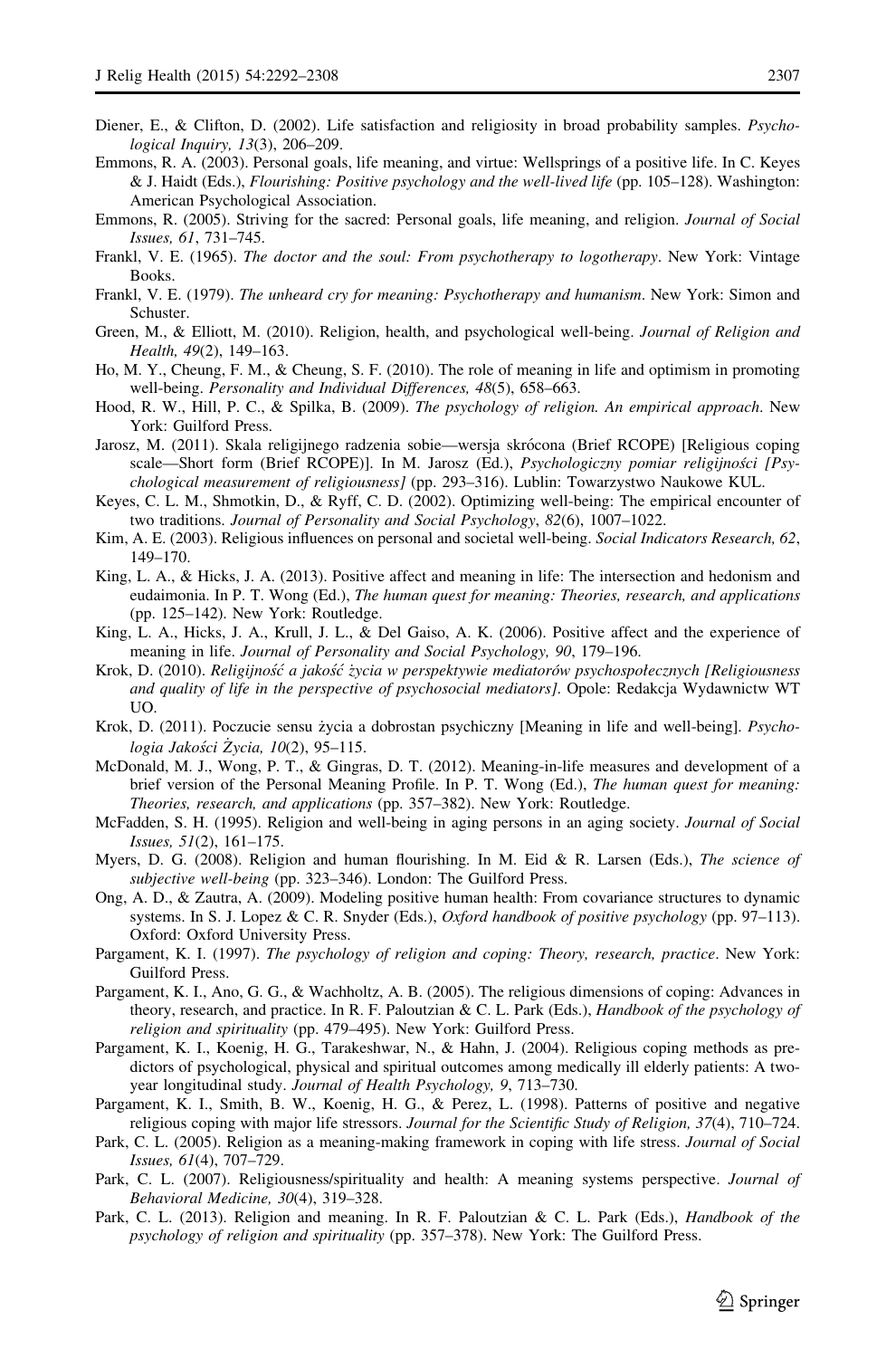- <span id="page-15-0"></span>Diener, E., & Clifton, D. (2002). Life satisfaction and religiosity in broad probability samples. *Psycho*logical Inquiry, 13(3), 206–209.
- Emmons, R. A. (2003). Personal goals, life meaning, and virtue: Wellsprings of a positive life. In C. Keyes & J. Haidt (Eds.), Flourishing: Positive psychology and the well-lived life (pp. 105–128). Washington: American Psychological Association.
- Emmons, R. (2005). Striving for the sacred: Personal goals, life meaning, and religion. Journal of Social Issues, 61, 731–745.
- Frankl, V. E. (1965). The doctor and the soul: From psychotherapy to logotherapy. New York: Vintage **Books**
- Frankl, V. E. (1979). The unheard cry for meaning: Psychotherapy and humanism. New York: Simon and Schuster.
- Green, M., & Elliott, M. (2010). Religion, health, and psychological well-being. Journal of Religion and Health, 49(2), 149–163.
- Ho, M. Y., Cheung, F. M., & Cheung, S. F. (2010). The role of meaning in life and optimism in promoting well-being. Personality and Individual Differences, 48(5), 658–663.
- Hood, R. W., Hill, P. C., & Spilka, B. (2009). The psychology of religion. An empirical approach. New York: Guilford Press.
- Jarosz, M. (2011). Skala religijnego radzenia sobie—wersja skrócona (Brief RCOPE) [Religious coping scale—Short form (Brief RCOPE)]. In M. Jarosz (Ed.), Psychologiczny pomiar religijności [Psychological measurement of religiousness] (pp. 293–316). Lublin: Towarzystwo Naukowe KUL.
- Keyes, C. L. M., Shmotkin, D., & Ryff, C. D. (2002). Optimizing well-being: The empirical encounter of two traditions. Journal of Personality and Social Psychology, 82(6), 1007–1022.
- Kim, A. E. (2003). Religious influences on personal and societal well-being. Social Indicators Research, 62, 149–170.
- King, L. A., & Hicks, J. A. (2013). Positive affect and meaning in life: The intersection and hedonism and eudaimonia. In P. T. Wong (Ed.), The human quest for meaning: Theories, research, and applications (pp. 125–142). New York: Routledge.
- King, L. A., Hicks, J. A., Krull, J. L., & Del Gaiso, A. K. (2006). Positive affect and the experience of meaning in life. Journal of Personality and Social Psychology, 90, 179–196.
- Krok, D. (2010). Religijność a jakość zycia w perspektywie mediatorów psychospołecznych [Religiousness and quality of life in the perspective of psychosocial mediators]. Opole: Redakcja Wydawnictw WT UO.
- Krok, D. (2011). Poczucie sensu życia a dobrostan psychiczny [Meaning in life and well-being]. Psycho $logia$  Jakości Życia,  $10(2)$ , 95–115.
- McDonald, M. J., Wong, P. T., & Gingras, D. T. (2012). Meaning-in-life measures and development of a brief version of the Personal Meaning Profile. In P. T. Wong (Ed.), The human quest for meaning: Theories, research, and applications (pp. 357–382). New York: Routledge.
- McFadden, S. H. (1995). Religion and well-being in aging persons in an aging society. Journal of Social Issues, 51(2), 161–175.
- Myers, D. G. (2008). Religion and human flourishing. In M. Eid & R. Larsen (Eds.), The science of subjective well-being (pp. 323–346). London: The Guilford Press.
- Ong, A. D., & Zautra, A. (2009). Modeling positive human health: From covariance structures to dynamic systems. In S. J. Lopez & C. R. Snyder (Eds.), *Oxford handbook of positive psychology* (pp. 97–113). Oxford: Oxford University Press.
- Pargament, K. I. (1997). The psychology of religion and coping: Theory, research, practice. New York: Guilford Press.
- Pargament, K. I., Ano, G. G., & Wachholtz, A. B. (2005). The religious dimensions of coping: Advances in theory, research, and practice. In R. F. Paloutzian & C. L. Park (Eds.), Handbook of the psychology of religion and spirituality (pp. 479–495). New York: Guilford Press.
- Pargament, K. I., Koenig, H. G., Tarakeshwar, N., & Hahn, J. (2004). Religious coping methods as predictors of psychological, physical and spiritual outcomes among medically ill elderly patients: A twoyear longitudinal study. Journal of Health Psychology, 9, 713–730.
- Pargament, K. I., Smith, B. W., Koenig, H. G., & Perez, L. (1998). Patterns of positive and negative religious coping with major life stressors. Journal for the Scientific Study of Religion, 37(4), 710–724.
- Park, C. L. (2005). Religion as a meaning-making framework in coping with life stress. Journal of Social Issues, 61(4), 707–729.
- Park, C. L. (2007). Religiousness/spirituality and health: A meaning systems perspective. Journal of Behavioral Medicine, 30(4), 319–328.
- Park, C. L. (2013). Religion and meaning. In R. F. Paloutzian & C. L. Park (Eds.), *Handbook of the* psychology of religion and spirituality (pp. 357–378). New York: The Guilford Press.